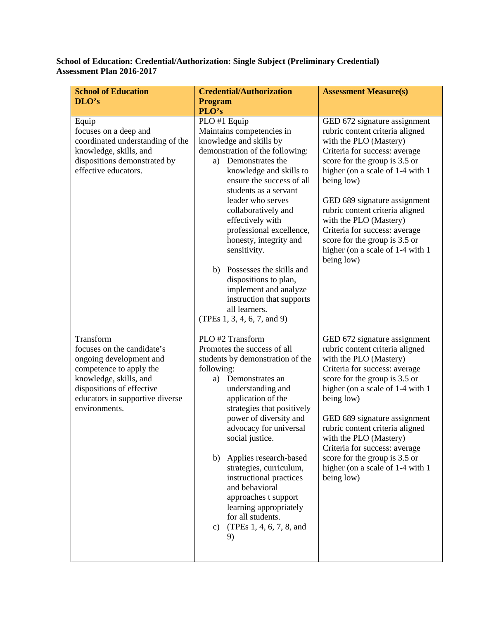## **School of Education: Credential/Authorization: Single Subject (Preliminary Credential) Assessment Plan 2016-2017**

| <b>School of Education</b>                                                                                                                                                                               | <b>Credential/Authorization</b>                                                                                                                                                                                                                                                                                                                                                                                                                                                                                        | <b>Assessment Measure(s)</b>                                                                                                                                                                                                                                                                                                                                                                                                    |
|----------------------------------------------------------------------------------------------------------------------------------------------------------------------------------------------------------|------------------------------------------------------------------------------------------------------------------------------------------------------------------------------------------------------------------------------------------------------------------------------------------------------------------------------------------------------------------------------------------------------------------------------------------------------------------------------------------------------------------------|---------------------------------------------------------------------------------------------------------------------------------------------------------------------------------------------------------------------------------------------------------------------------------------------------------------------------------------------------------------------------------------------------------------------------------|
| DLO's                                                                                                                                                                                                    | <b>Program</b><br>PLO's                                                                                                                                                                                                                                                                                                                                                                                                                                                                                                |                                                                                                                                                                                                                                                                                                                                                                                                                                 |
| Equip<br>focuses on a deep and<br>coordinated understanding of the<br>knowledge, skills, and<br>dispositions demonstrated by<br>effective educators.                                                     | PLO #1 Equip<br>Maintains competencies in<br>knowledge and skills by<br>demonstration of the following:<br>Demonstrates the<br>a)<br>knowledge and skills to<br>ensure the success of all<br>students as a servant<br>leader who serves<br>collaboratively and<br>effectively with<br>professional excellence,<br>honesty, integrity and<br>sensitivity.<br>b) Possesses the skills and<br>dispositions to plan,<br>implement and analyze<br>instruction that supports<br>all learners.<br>(TPEs 1, 3, 4, 6, 7, and 9) | GED 672 signature assignment<br>rubric content criteria aligned<br>with the PLO (Mastery)<br>Criteria for success: average<br>score for the group is 3.5 or<br>higher (on a scale of 1-4 with 1<br>being low)<br>GED 689 signature assignment<br>rubric content criteria aligned<br>with the PLO (Mastery)<br>Criteria for success: average<br>score for the group is 3.5 or<br>higher (on a scale of 1-4 with 1<br>being low)  |
| Transform<br>focuses on the candidate's<br>ongoing development and<br>competence to apply the<br>knowledge, skills, and<br>dispositions of effective<br>educators in supportive diverse<br>environments. | PLO #2 Transform<br>Promotes the success of all<br>students by demonstration of the<br>following:<br>a) Demonstrates an<br>understanding and<br>application of the<br>strategies that positively<br>power of diversity and<br>advocacy for universal<br>social justice.<br>b) Applies research-based<br>strategies, curriculum,<br>instructional practices<br>and behavioral<br>approaches t support<br>learning appropriately<br>for all students.<br>(TPEs 1, 4, 6, 7, 8, and<br>c)<br>9)                            | GED 672 signature assignment<br>rubric content criteria aligned<br>with the PLO (Mastery)<br>Criteria for success: average<br>score for the group is 3.5 or<br>higher (on a scale of 1-4 with 1<br>being low)<br>GED 689 signature assignment<br>rubric content criteria aligned<br>with the PLO (Mastery)<br>Criteria for success: average<br>score for the group is 3.5 or<br>higher (on a scale of 1-4 with 1)<br>being low) |